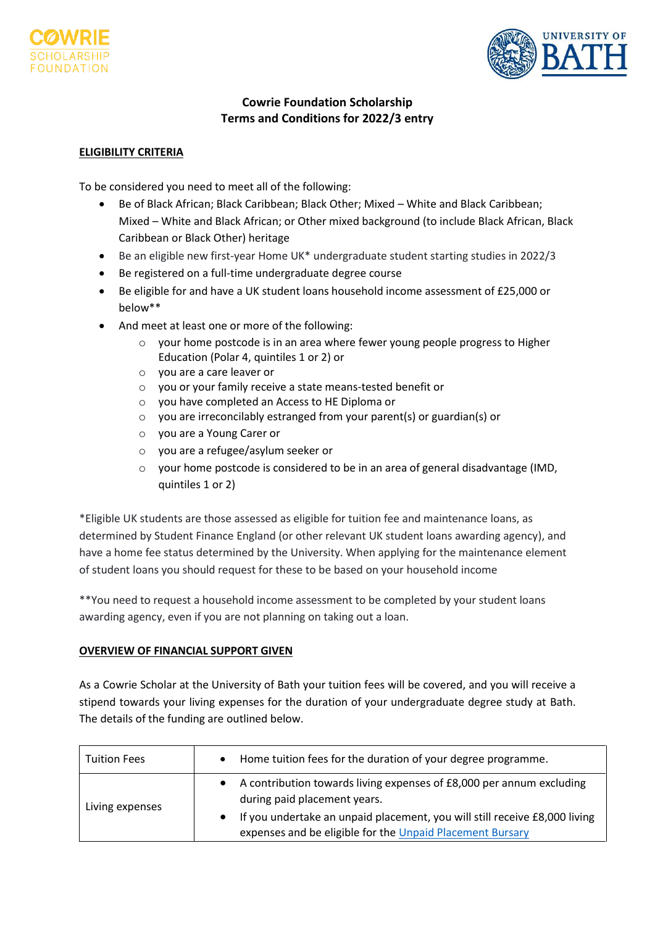



# **Cowrie Foundation Scholarship Terms and Conditions for 2022/3 entry**

### **ELIGIBILITY CRITERIA**

To be considered you need to meet all of the following:

- Be of Black African; Black Caribbean; Black Other; Mixed White and Black Caribbean; Mixed – White and Black African; or Other mixed background (to include Black African, Black Caribbean or Black Other) heritage
- Be an eligible new first-year Home UK\* undergraduate student starting studies in 2022/3
- Be registered on a full-time undergraduate degree course
- Be eligible for and have a UK student loans household income assessment of £25,000 or below\*\*
- And meet at least one or more of the following:
	- o your home postcode is in an area where fewer young people progress to Higher Education (Polar 4, quintiles 1 or 2) or
	- o you are a care leaver or
	- o you or your family receive a state means-tested benefit or
	- o you have completed an Access to HE Diploma or
	- o you are irreconcilably estranged from your parent(s) or guardian(s) or
	- o you are a Young Carer or
	- o you are a refugee/asylum seeker or
	- $\circ$  your home postcode is considered to be in an area of general disadvantage (IMD, quintiles 1 or 2)

\*Eligible UK students are those assessed as eligible for tuition fee and maintenance loans, as determined by Student Finance England (or other relevant UK student loans awarding agency), and have a home fee status determined by the University. When applying for the maintenance element of student loans you should request for these to be based on your household income

\*\*You need to request a household income assessment to be completed by your student loans awarding agency, even if you are not planning on taking out a loan.

### **OVERVIEW OF FINANCIAL SUPPORT GIVEN**

As a Cowrie Scholar at the University of Bath your tuition fees will be covered, and you will receive a stipend towards your living expenses for the duration of your undergraduate degree study at Bath. The details of the funding are outlined below.

| Tuition Fees    | Home tuition fees for the duration of your degree programme.<br>$\bullet$                                                                            |
|-----------------|------------------------------------------------------------------------------------------------------------------------------------------------------|
| Living expenses | A contribution towards living expenses of £8,000 per annum excluding<br>$\bullet$<br>during paid placement years.                                    |
|                 | If you undertake an unpaid placement, you will still receive £8,000 living<br>$\bullet$<br>expenses and be eligible for the Unpaid Placement Bursary |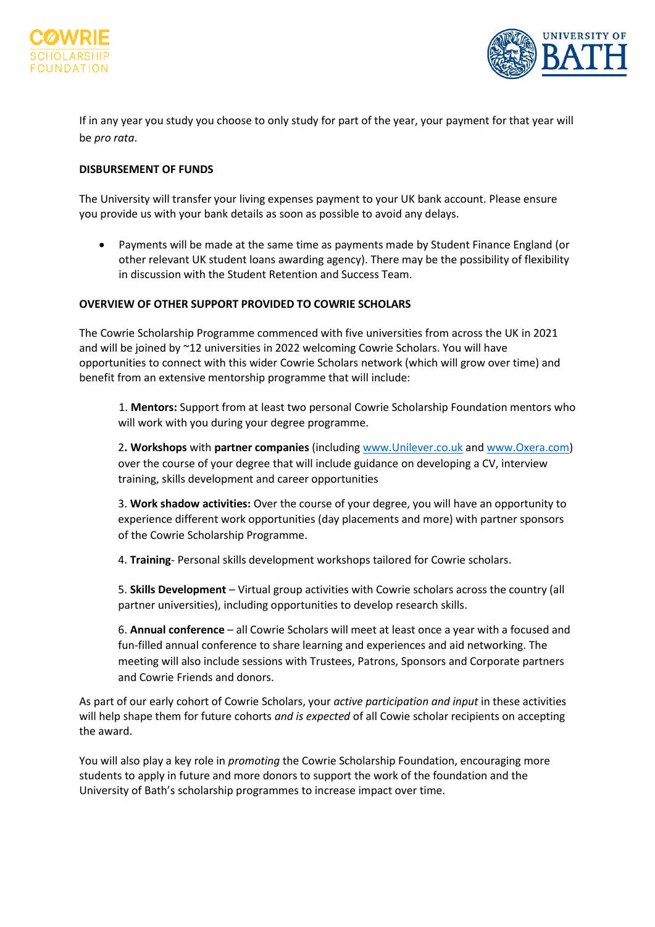



If in any year you study you choose to only study for part of the year, your payment for that year will be *pro rata*.

### **DISBURSEMENT OF FUNDS**

The University will transfer your living expenses payment to your UK bank account. Please ensure you provide us with your bank details as soon as possible to avoid any delays.

• Payments will be made at the same time as payments made by Student Finance England (or other relevant UK student loans awarding agency). There may be the possibility of flexibility in discussion with the Student Retention and Success Team.

#### **OVERVIEW OF OTHER SUPPORT PROVIDED TO COWRIE SCHOLARS**

The Cowrie Scholarship Programme commenced with five universities from across the UK in 2021 and will be joined by ~12 universities in 2022 welcoming Cowrie Scholars. You will have opportunities to connect with this wider Cowrie Scholars network (which will grow over time) and benefit from an extensive mentorship programme that will include:

1. **Mentors:** Support from at least two personal Cowrie Scholarship Foundation mentors who will work with you during your degree programme.

2**. Workshops** with **partner companies** (including [www.Unilever.co.uk](http://www.unilever.co.uk/) an[d www.Oxera.com\)](http://www.oxera.com/) over the course of your degree that will include guidance on developing a CV, interview training, skills development and career opportunities

3. **Work shadow activities:** Over the course of your degree, you will have an opportunity to experience different work opportunities (day placements and more) with partner sponsors of the Cowrie Scholarship Programme.

4. **Training**- Personal skills development workshops tailored for Cowrie scholars.

5. **Skills Development** – Virtual group activities with Cowrie scholars across the country (all partner universities), including opportunities to develop research skills.

6. **Annual conference** – all Cowrie Scholars will meet at least once a year with a focused and fun-filled annual conference to share learning and experiences and aid networking. The meeting will also include sessions with Trustees, Patrons, Sponsors and Corporate partners and Cowrie Friends and donors.

As part of our early cohort of Cowrie Scholars, your *active participation and input* in these activities will help shape them for future cohorts *and is expected* of all Cowie scholar recipients on accepting the award.

You will also play a key role in *promoting* the Cowrie Scholarship Foundation, encouraging more students to apply in future and more donors to support the work of the foundation and the University of Bath's scholarship programmes to increase impact over time.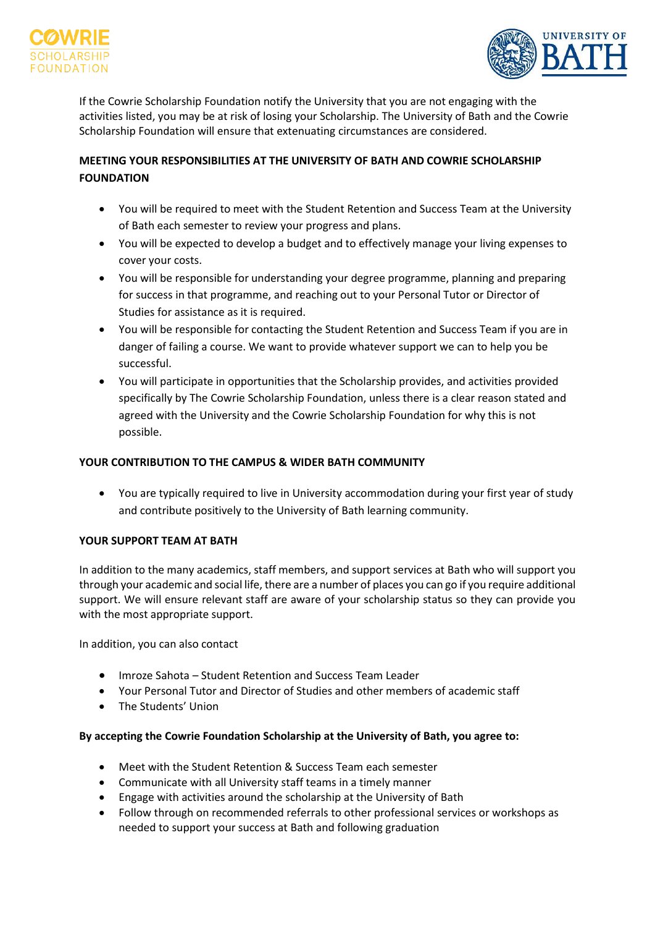



If the Cowrie Scholarship Foundation notify the University that you are not engaging with the activities listed, you may be at risk of losing your Scholarship. The University of Bath and the Cowrie Scholarship Foundation will ensure that extenuating circumstances are considered.

## **MEETING YOUR RESPONSIBILITIES AT THE UNIVERSITY OF BATH AND COWRIE SCHOLARSHIP FOUNDATION**

- You will be required to meet with the Student Retention and Success Team at the University of Bath each semester to review your progress and plans.
- You will be expected to develop a budget and to effectively manage your living expenses to cover your costs.
- You will be responsible for understanding your degree programme, planning and preparing for success in that programme, and reaching out to your Personal Tutor or Director of Studies for assistance as it is required.
- You will be responsible for contacting the Student Retention and Success Team if you are in danger of failing a course. We want to provide whatever support we can to help you be successful.
- You will participate in opportunities that the Scholarship provides, and activities provided specifically by The Cowrie Scholarship Foundation, unless there is a clear reason stated and agreed with the University and the Cowrie Scholarship Foundation for why this is not possible.

## **YOUR CONTRIBUTION TO THE CAMPUS & WIDER BATH COMMUNITY**

• You are typically required to live in University accommodation during your first year of study and contribute positively to the University of Bath learning community.

## **YOUR SUPPORT TEAM AT BATH**

In addition to the many academics, staff members, and support services at Bath who will support you through your academic and social life, there are a number of places you can go if you require additional support. We will ensure relevant staff are aware of your scholarship status so they can provide you with the most appropriate support.

In addition, you can also contact

- Imroze Sahota Student Retention and Success Team Leader
- Your Personal Tutor and Director of Studies and other members of academic staff
- The Students' Union

## **By accepting the Cowrie Foundation Scholarship at the University of Bath, you agree to:**

- Meet with the Student Retention & Success Team each semester
- Communicate with all University staff teams in a timely manner
- Engage with activities around the scholarship at the University of Bath
- Follow through on recommended referrals to other professional services or workshops as needed to support your success at Bath and following graduation